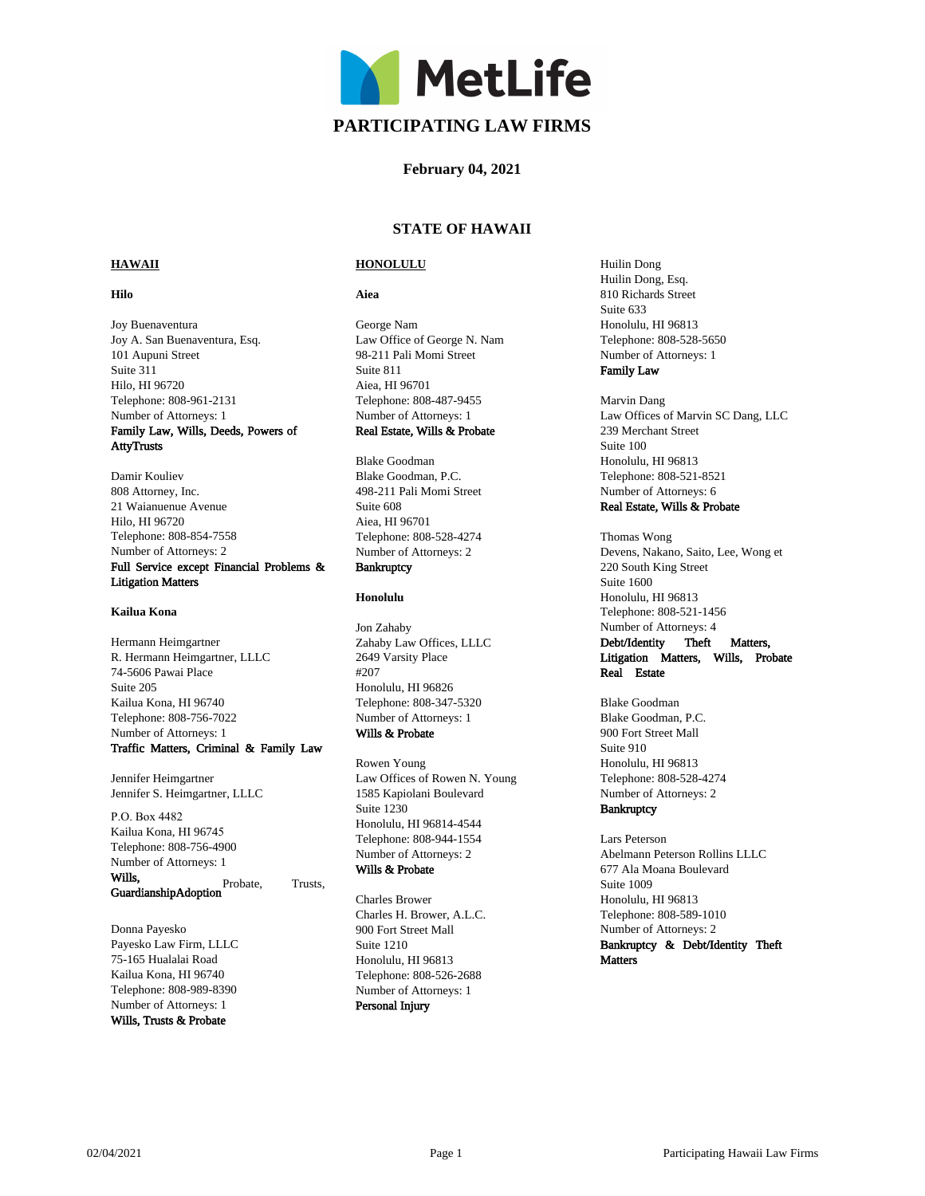

# **February 04, 2021**

# **STATE OF HAWAII**

# **HAWAII**

## **Hilo**

Joy Buenaventura Joy A. San Buenaventura, Esq. 101 Aupuni Street Suite 311 Hilo, HI 96720 Telephone: 808-961-2131 Number of Attorneys: 1 Family Law, Wills, Deeds, Powers of AttyTrusts

Damir Kouliev 808 Attorney, Inc. 21 Waianuenue Avenue

Hilo, HI 96720 Telephone: 808-854-7558 Number of Attorneys: 2 Full Service except Financial Problems & Litigation Matters

### **Kailua Kona**

Hermann Heimgartner R. Hermann Heimgartner, LLLC 74-5606 Pawai Place Suite 205 Kailua Kona, HI 96740 Telephone: 808-756-7022 Number of Attorneys: 1 Traffic Matters, Criminal & Family Law

Jennifer Heimgartner Jennifer S. Heimgartner, LLLC

Wills, Probate, Trusts, P.O. Box 4482 Kailua Kona, HI 96745 Telephone: 808-756-4900 Number of Attorneys: 1 GuardianshipAdoption

Donna Payesko Payesko Law Firm, LLLC 75-165 Hualalai Road Kailua Kona, HI 96740 Telephone: 808-989-8390 Number of Attorneys: 1 Wills, Trusts & Probate

# **HONOLULU**

### **Aiea**

George Nam Law Office of George N. Nam 98-211 Pali Momi Street Suite 811 Aiea, HI 96701 Telephone: 808-487-9455 Number of Attorneys: 1 Real Estate, Wills & Probate

Blake Goodman Blake Goodman, P.C. 498-211 Pali Momi Street Suite 608 Aiea, HI 96701 Telephone: 808-528-4274 Number of Attorneys: 2

# **Bankruptcy**

### **Honolulu**

Jon Zahaby Zahaby Law Offices, LLLC 2649 Varsity Place #207 Honolulu, HI 96826 Telephone: 808-347-5320 Number of Attorneys: 1 Wills & Probate

Rowen Young Law Offices of Rowen N. Young 1585 Kapiolani Boulevard Suite 1230 Honolulu, HI 96814-4544 Telephone: 808-944-1554 Number of Attorneys: 2 Wills & Probate

Charles Brower Charles H. Brower, A.L.C. 900 Fort Street Mall Suite 1210 Honolulu, HI 96813 Telephone: 808-526-2688 Number of Attorneys: 1 Personal Injury

Huilin Dong Huilin Dong, Esq. 810 Richards Street Suite 633 Honolulu, HI 96813 Telephone: 808-528-5650 Number of Attorneys: 1 Family Law

Marvin Dang Law Offices of Marvin SC Dang, LLC 239 Merchant Street Suite 100 Honolulu, HI 96813 Telephone: 808-521-8521 Number of Attorneys: 6

# Real Estate, Wills & Probate

Thomas Wong Devens, Nakano, Saito, Lee, Wong et 220 South King Street Suite 1600 Honolulu, HI 96813 Telephone: 808-521-1456 Number of Attorneys: 4

# Debt/Identity Theft Matters, Litigation Matters, Wills, Probate Real Estate

Blake Goodman Blake Goodman, P.C. 900 Fort Street Mall Suite 910 Honolulu, HI 96813 Telephone: 808-528-4274 Number of Attorneys: 2

# **Bankruptcy**

Lars Peterson Abelmann Peterson Rollins LLLC 677 Ala Moana Boulevard Suite 1009 Honolulu, HI 96813 Telephone: 808-589-1010 Number of Attorneys: 2

Bankruptcy & Debt/Identity Theft Matters